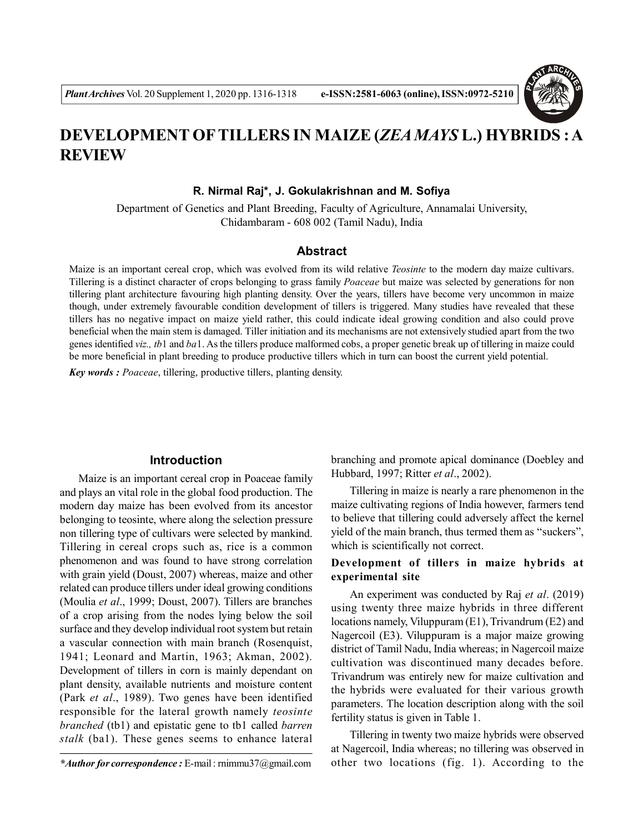

# **DEVELOPMENT OFTILLERS IN MAIZE (***ZEA MAYS* **L.) HYBRIDS : A REVIEW**

**R. Nirmal Raj\*, J. Gokulakrishnan and M. Sofiya**

Department of Genetics and Plant Breeding, Faculty of Agriculture, Annamalai University, Chidambaram - 608 002 (Tamil Nadu), India

### **Abstract**

Maize is an important cereal crop, which was evolved from its wild relative *Teosinte* to the modern day maize cultivars. Tillering is a distinct character of crops belonging to grass family *Poaceae* but maize was selected by generations for non tillering plant architecture favouring high planting density. Over the years, tillers have become very uncommon in maize though, under extremely favourable condition development of tillers is triggered. Many studies have revealed that these tillers has no negative impact on maize yield rather, this could indicate ideal growing condition and also could prove beneficial when the main stem is damaged. Tiller initiation and its mechanisms are not extensively studied apart from the two genes identified *viz., tb*1 and *ba*1. As the tillers produce malformed cobs, a proper genetic break up of tillering in maize could be more beneficial in plant breeding to produce productive tillers which in turn can boost the current yield potential.

*Key words : Poaceae*, tillering, productive tillers, planting density.

#### **Introduction**

Maize is an important cereal crop in Poaceae family and plays an vital role in the global food production. The modern day maize has been evolved from its ancestor belonging to teosinte, where along the selection pressure non tillering type of cultivars were selected by mankind. Tillering in cereal crops such as, rice is a common phenomenon and was found to have strong correlation with grain yield (Doust, 2007) whereas, maize and other related can produce tillers under ideal growing conditions (Moulia *et al*., 1999; Doust, 2007). Tillers are branches of a crop arising from the nodes lying below the soil surface and they develop individual root system but retain a vascular connection with main branch (Rosenquist, 1941; Leonard and Martin, 1963; Akman, 2002). Development of tillers in corn is mainly dependant on plant density, available nutrients and moisture content (Park *et al*., 1989). Two genes have been identified responsible for the lateral growth namely *teosinte branched* (tb1) and epistatic gene to tb1 called *barren stalk* (ba1). These genes seems to enhance lateral

branching and promote apical dominance (Doebley and Hubbard, 1997; Ritter *et al*., 2002).

Tillering in maize is nearly a rare phenomenon in the maize cultivating regions of India however, farmers tend to believe that tillering could adversely affect the kernel yield of the main branch, thus termed them as "suckers", which is scientifically not correct.

### **Development of tillers in maize hybrids at experimental site**

An experiment was conducted by Raj *et al*. (2019) using twenty three maize hybrids in three different locations namely, Viluppuram (E1), Trivandrum (E2) and Nagercoil (E3). Viluppuram is a major maize growing district of Tamil Nadu, India whereas; in Nagercoil maize cultivation was discontinued many decades before. Trivandrum was entirely new for maize cultivation and the hybrids were evaluated for their various growth parameters. The location description along with the soil fertility status is given in Table 1.

Tillering in twenty two maize hybrids were observed at Nagercoil, India whereas; no tillering was observed in other two locations (fig. 1). According to the

*<sup>\*</sup>Author for correspondence :* E-mail : rnimmu37@gmail.com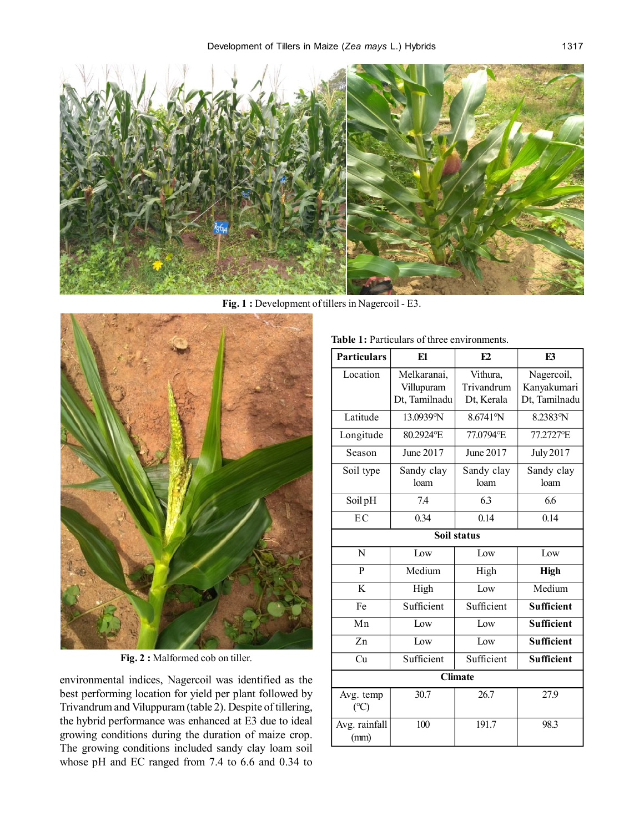

Fig. 1 : Development of tillers in Nagercoil - E3.



**Fig. 2 :** Malformed cob on tiller.

environmental indices, Nagercoil was identified as the best performing location for yield per plant followed by Trivandrum and Viluppuram (table 2). Despite of tillering, the hybrid performance was enhanced at E3 due to ideal growing conditions during the duration of maize crop. The growing conditions included sandy clay loam soil whose pH and EC ranged from 7.4 to 6.6 and 0.34 to

| <b>Particulars</b>    | E1            | F2         | F <sub>3</sub>    |  |  |  |
|-----------------------|---------------|------------|-------------------|--|--|--|
| Location              | Melkaranai,   | Vithura,   | Nagercoil,        |  |  |  |
|                       | Villupuram    | Trivandrum | Kanyakumari       |  |  |  |
|                       | Dt, Tamilnadu | Dt, Kerala | Dt, Tamilnadu     |  |  |  |
| Latitude              | 13.0939°N     | 8.6741°N   | 8.2383°N          |  |  |  |
| Longitude             | 80.2924°E     | 77.0794°E  | 77.2727°E         |  |  |  |
| Season                | June 2017     | June 2017  | July 2017         |  |  |  |
| Soil type             | Sandy clay    | Sandy clay | Sandy clay        |  |  |  |
|                       | loam          | loam       | loam              |  |  |  |
| Soil pH               | 74            | 6.3        | 6.6               |  |  |  |
| EC                    | 0.34          | 0.14       | 0.14              |  |  |  |
| Soil status           |               |            |                   |  |  |  |
| N                     | Low           | Iow        | Low               |  |  |  |
| P                     | Medium        | High       | <b>High</b>       |  |  |  |
| K                     | High          | Iow        | Medium            |  |  |  |
| Fe                    | Sufficient    | Sufficient | <b>Sufficient</b> |  |  |  |
| Mn                    | Low           | Low        | <b>Sufficient</b> |  |  |  |
| Zn                    | Iow           | Iow        | <b>Sufficient</b> |  |  |  |
| Cu                    | Sufficient    | Sufficient | Sufficient        |  |  |  |
| <b>Climate</b>        |               |            |                   |  |  |  |
| Avg. temp<br>(C)      | 30.7          | 26.7       | 27.9              |  |  |  |
| Avg. rainfall<br>(mm) | 100           | 191.7      | 98.3              |  |  |  |